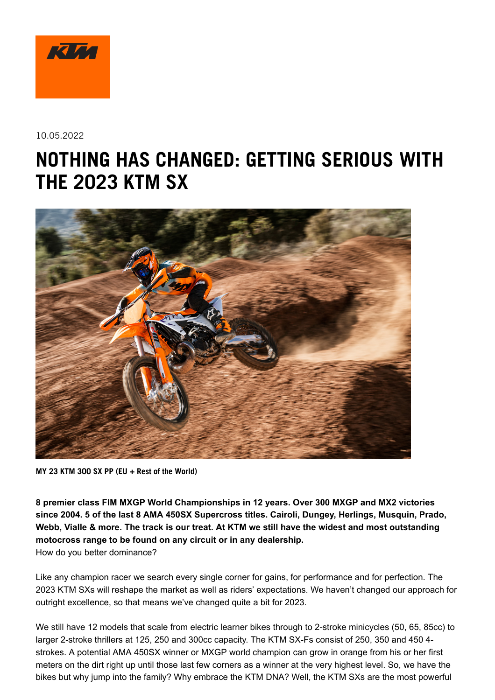

10.05.2022

# **NOTHING HAS CHANGED: GETTING SERIOUS WITH THE 2023 KTM SX**



**MY 23 KTM 300 SX PP (EU + Rest of the World)**

**8 premier class FIM MXGP World Championships in 12 years. Over 300 MXGP and MX2 victories since 2004. 5 of the last 8 AMA 450SX Supercross titles. Cairoli, Dungey, Herlings, Musquin, Prado, Webb, Vialle & more. The track is our treat. At KTM we still have the widest and most outstanding motocross range to be found on any circuit or in any dealership.** How do you better dominance?

Like any champion racer we search every single corner for gains, for performance and for perfection. The 2023 KTM SXs will reshape the market as well as riders' expectations. We haven't changed our approach for outright excellence, so that means we've changed quite a bit for 2023.

We still have 12 models that scale from electric learner bikes through to 2-stroke minicycles (50, 65, 85cc) to larger 2-stroke thrillers at 125, 250 and 300cc capacity. The KTM SX-Fs consist of 250, 350 and 450 4 strokes. A potential AMA 450SX winner or MXGP world champion can grow in orange from his or her first meters on the dirt right up until those last few corners as a winner at the very highest level. So, we have the bikes but why jump into the family? Why embrace the KTM DNA? Well, the KTM SXs are the most powerful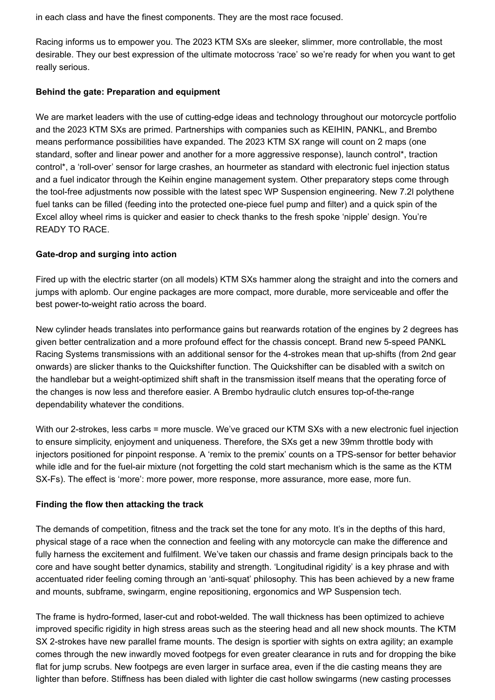in each class and have the finest components. They are the most race focused.

Racing informs us to empower you. The 2023 KTM SXs are sleeker, slimmer, more controllable, the most desirable. They our best expression of the ultimate motocross 'race' so we're ready for when you want to get really serious.

#### **Behind the gate: Preparation and equipment**

We are market leaders with the use of cutting-edge ideas and technology throughout our motorcycle portfolio and the 2023 KTM SXs are primed. Partnerships with companies such as KEIHIN, PANKL, and Brembo means performance possibilities have expanded. The 2023 KTM SX range will count on 2 maps (one standard, softer and linear power and another for a more aggressive response), launch control\*, traction control\*, a 'roll-over' sensor for large crashes, an hourmeter as standard with electronic fuel injection status and a fuel indicator through the Keihin engine management system. Other preparatory steps come through the tool-free adjustments now possible with the latest spec WP Suspension engineering. New 7.2l polythene fuel tanks can be filled (feeding into the protected one-piece fuel pump and filter) and a quick spin of the Excel alloy wheel rims is quicker and easier to check thanks to the fresh spoke 'nipple' design. You're READY TO RACE.

#### **Gate-drop and surging into action**

Fired up with the electric starter (on all models) KTM SXs hammer along the straight and into the corners and jumps with aplomb. Our engine packages are more compact, more durable, more serviceable and offer the best power-to-weight ratio across the board.

New cylinder heads translates into performance gains but rearwards rotation of the engines by 2 degrees has given better centralization and a more profound effect for the chassis concept. Brand new 5-speed PANKL Racing Systems transmissions with an additional sensor for the 4-strokes mean that up-shifts (from 2nd gear onwards) are slicker thanks to the Quickshifter function. The Quickshifter can be disabled with a switch on the handlebar but a weight-optimized shift shaft in the transmission itself means that the operating force of the changes is now less and therefore easier. A Brembo hydraulic clutch ensures top-of-the-range dependability whatever the conditions.

With our 2-strokes, less carbs = more muscle. We've graced our KTM SXs with a new electronic fuel injection to ensure simplicity, enjoyment and uniqueness. Therefore, the SXs get a new 39mm throttle body with injectors positioned for pinpoint response. A 'remix to the premix' counts on a TPS-sensor for better behavior while idle and for the fuel-air mixture (not forgetting the cold start mechanism which is the same as the KTM SX-Fs). The effect is 'more': more power, more response, more assurance, more ease, more fun.

#### **Finding the flow then attacking the track**

The demands of competition, fitness and the track set the tone for any moto. It's in the depths of this hard, physical stage of a race when the connection and feeling with any motorcycle can make the difference and fully harness the excitement and fulfilment. We've taken our chassis and frame design principals back to the core and have sought better dynamics, stability and strength. 'Longitudinal rigidity' is a key phrase and with accentuated rider feeling coming through an 'anti-squat' philosophy. This has been achieved by a new frame and mounts, subframe, swingarm, engine repositioning, ergonomics and WP Suspension tech.

The frame is hydro-formed, laser-cut and robot-welded. The wall thickness has been optimized to achieve improved specific rigidity in high stress areas such as the steering head and all new shock mounts. The KTM SX 2-strokes have new parallel frame mounts. The design is sportier with sights on extra agility; an example comes through the new inwardly moved footpegs for even greater clearance in ruts and for dropping the bike flat for jump scrubs. New footpegs are even larger in surface area, even if the die casting means they are lighter than before. Stiffness has been dialed with lighter die cast hollow swingarms (new casting processes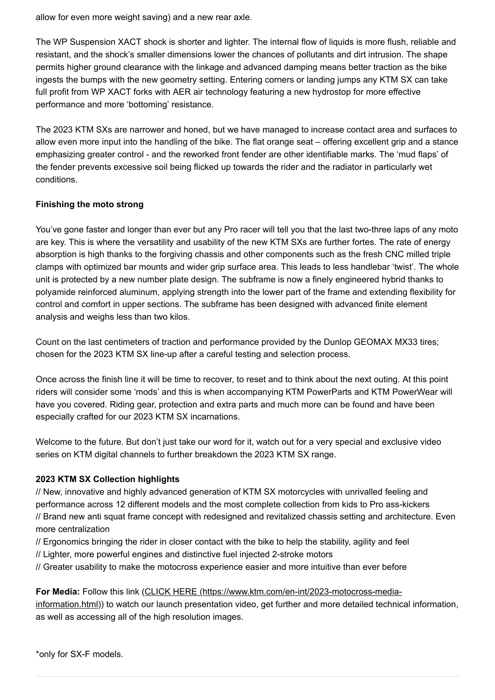allow for even more weight saving) and a new rear axle.

The WP Suspension XACT shock is shorter and lighter. The internal flow of liquids is more flush, reliable and resistant, and the shock's smaller dimensions lower the chances of pollutants and dirt intrusion. The shape permits higher ground clearance with the linkage and advanced damping means better traction as the bike ingests the bumps with the new geometry setting. Entering corners or landing jumps any KTM SX can take full profit from WP XACT forks with AER air technology featuring a new hydrostop for more effective performance and more 'bottoming' resistance.

The 2023 KTM SXs are narrower and honed, but we have managed to increase contact area and surfaces to allow even more input into the handling of the bike. The flat orange seat – offering excellent grip and a stance emphasizing greater control - and the reworked front fender are other identifiable marks. The 'mud flaps' of the fender prevents excessive soil being flicked up towards the rider and the radiator in particularly wet conditions.

#### **Finishing the moto strong**

You've gone faster and longer than ever but any Pro racer will tell you that the last two-three laps of any moto are key. This is where the versatility and usability of the new KTM SXs are further fortes. The rate of energy absorption is high thanks to the forgiving chassis and other components such as the fresh CNC milled triple clamps with optimized bar mounts and wider grip surface area. This leads to less handlebar 'twist'. The whole unit is protected by a new number plate design. The subframe is now a finely engineered hybrid thanks to polyamide reinforced aluminum, applying strength into the lower part of the frame and extending flexibility for control and comfort in upper sections. The subframe has been designed with advanced finite element analysis and weighs less than two kilos.

Count on the last centimeters of traction and performance provided by the Dunlop GEOMAX MX33 tires; chosen for the 2023 KTM SX line-up after a careful testing and selection process.

Once across the finish line it will be time to recover, to reset and to think about the next outing. At this point riders will consider some 'mods' and this is when accompanying KTM PowerParts and KTM PowerWear will have you covered. Riding gear, protection and extra parts and much more can be found and have been especially crafted for our 2023 KTM SX incarnations.

Welcome to the future. But don't just take our word for it, watch out for a very special and exclusive video series on KTM digital channels to further breakdown the 2023 KTM SX range.

#### **2023 KTM SX Collection highlights**

// New, innovative and highly advanced generation of KTM SX motorcycles with unrivalled feeling and performance across 12 different models and the most complete collection from kids to Pro ass-kickers // Brand new anti squat frame concept with redesigned and revitalized chassis setting and architecture. Even more centralization

- // Ergonomics bringing the rider in closer contact with the bike to help the stability, agility and feel
- // Lighter, more powerful engines and distinctive fuel injected 2-stroke motors
- // Greater usability to make the motocross experience easier and more intuitive than ever before

#### **For Media:** Follow this link (CLICK HERE (https://www.ktm.com/en-int/2023-motocross-media-

[information.html\)\) to watch our launch presentation video, get further and more detailed technic](https://www.ktm.com/en-int/2023-motocross-media-information.html)al information, as well as accessing all of the high resolution images.

\*only for SX-F models.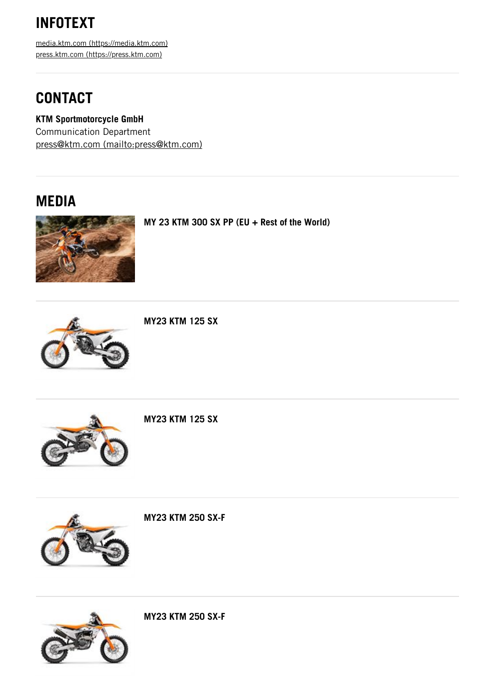## **INFOTEXT**

media.ktm.com [\(https://media.ktm.com\)](https://media.ktm.com/) press.ktm.com [\(https://press.ktm.com\)](https://press.ktm.com/)

### **CONTACT**

**KTM Sportmotorcycle GmbH** Communication Department press@ktm.com [\(mailto:press@ktm.com\)](mailto:press@ktm.com)

### **MEDIA**



**MY 23 KTM 300 SX PP (EU + Rest of the World)**



**MY23 KTM 125 SX**



**MY23 KTM 125 SX**



**MY23 KTM 250 SX-F**



**MY23 KTM 250 SX-F**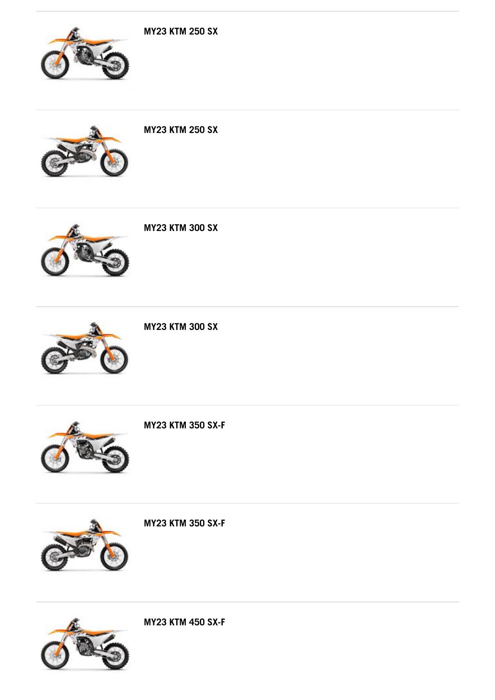

**MY23 KTM 450 SX-F**



**MY23 KTM 350 SX-F**



**MY23 KTM 350 SX-F**



**MY23 KTM 300 SX**



**MY23 KTM 300 SX**



**MY23 KTM 250 SX**

**MY23 KTM 250 SX**

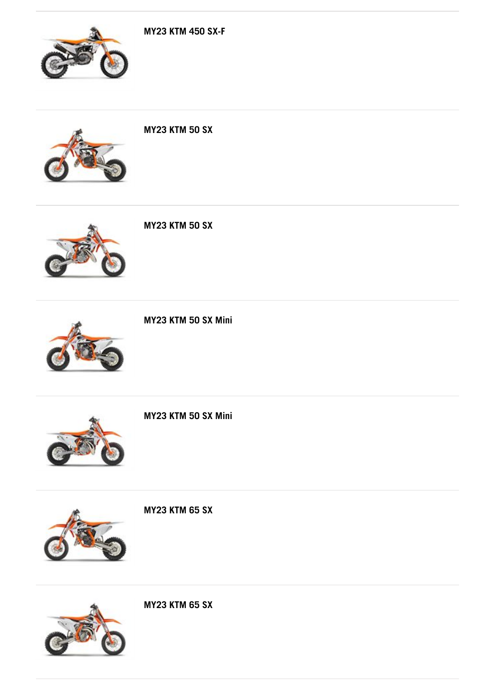





**MY23 KTM 50 SX**



**MY23 KTM 50 SX**



**MY23 KTM 50 SX Mini**



**MY23 KTM 50 SX Mini**





**MY23 KTM 65 SX**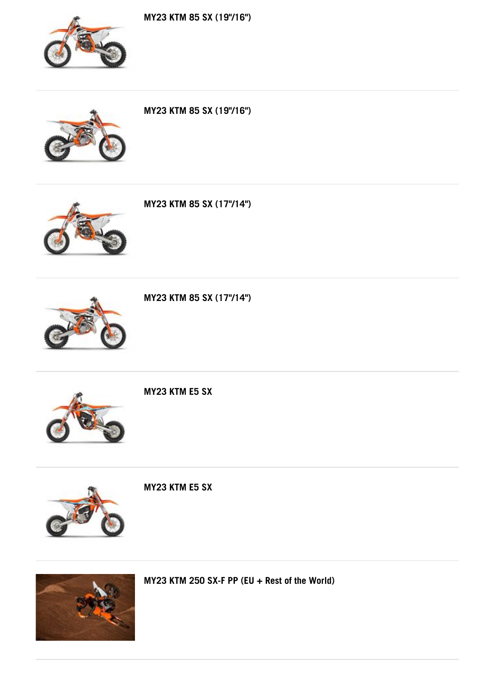**MY23 KTM 85 SX (19"/16")**



**MY23 KTM 85 SX (19"/16")**





**MY23 KTM 85 SX (17"/14")**



**MY23 KTM 85 SX (17"/14")**



**MY23 KTM E5 SX**



**MY23 KTM E5 SX**



**MY23 KTM 250 SX-F PP (EU + Rest of the World)**